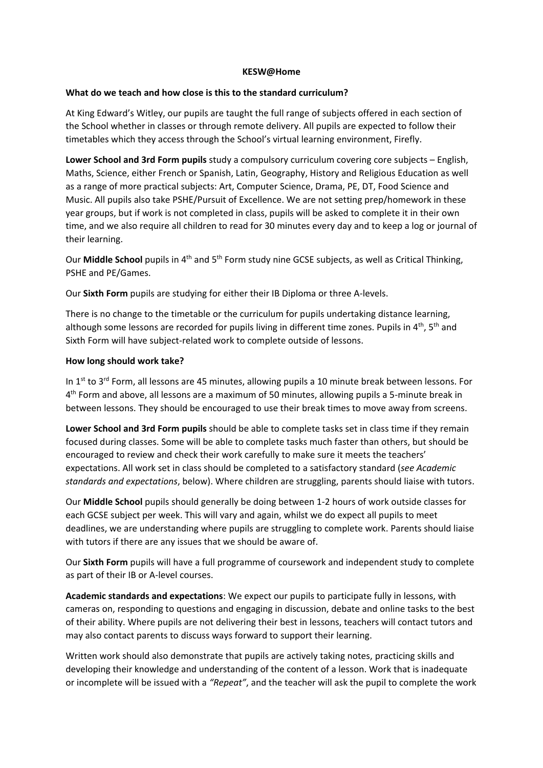#### **KESW@Home**

### **What do we teach and how close is this to the standard curriculum?**

At King Edward's Witley, our pupils are taught the full range of subjects offered in each section of the School whether in classes or through remote delivery. All pupils are expected to follow their timetables which they access through the School's virtual learning environment, Firefly.

**Lower School and 3rd Form pupils** study a compulsory curriculum covering core subjects – English, Maths, Science, either French or Spanish, Latin, Geography, History and Religious Education as well as a range of more practical subjects: Art, Computer Science, Drama, PE, DT, Food Science and Music. All pupils also take PSHE/Pursuit of Excellence. We are not setting prep/homework in these year groups, but if work is not completed in class, pupils will be asked to complete it in their own time, and we also require all children to read for 30 minutes every day and to keep a log or journal of their learning.

Our **Middle School** pupils in 4<sup>th</sup> and 5<sup>th</sup> Form study nine GCSE subjects, as well as Critical Thinking, PSHE and PE/Games.

Our **Sixth Form** pupils are studying for either their IB Diploma or three A-levels.

There is no change to the timetable or the curriculum for pupils undertaking distance learning, although some lessons are recorded for pupils living in different time zones. Pupils in  $4<sup>th</sup>$ , 5<sup>th</sup> and Sixth Form will have subject-related work to complete outside of lessons.

## **How long should work take?**

In 1st to 3rd Form, all lessons are 45 minutes, allowing pupils a 10 minute break between lessons. For 4<sup>th</sup> Form and above, all lessons are a maximum of 50 minutes, allowing pupils a 5-minute break in between lessons. They should be encouraged to use their break times to move away from screens.

**Lower School and 3rd Form pupils** should be able to complete tasks set in class time if they remain focused during classes. Some will be able to complete tasks much faster than others, but should be encouraged to review and check their work carefully to make sure it meets the teachers' expectations. All work set in class should be completed to a satisfactory standard (*see Academic standards and expectations*, below). Where children are struggling, parents should liaise with tutors.

Our **Middle School** pupils should generally be doing between 1-2 hours of work outside classes for each GCSE subject per week. This will vary and again, whilst we do expect all pupils to meet deadlines, we are understanding where pupils are struggling to complete work. Parents should liaise with tutors if there are any issues that we should be aware of.

Our **Sixth Form** pupils will have a full programme of coursework and independent study to complete as part of their IB or A-level courses.

**Academic standards and expectations**: We expect our pupils to participate fully in lessons, with cameras on, responding to questions and engaging in discussion, debate and online tasks to the best of their ability. Where pupils are not delivering their best in lessons, teachers will contact tutors and may also contact parents to discuss ways forward to support their learning.

Written work should also demonstrate that pupils are actively taking notes, practicing skills and developing their knowledge and understanding of the content of a lesson. Work that is inadequate or incomplete will be issued with a *"Repeat"*, and the teacher will ask the pupil to complete the work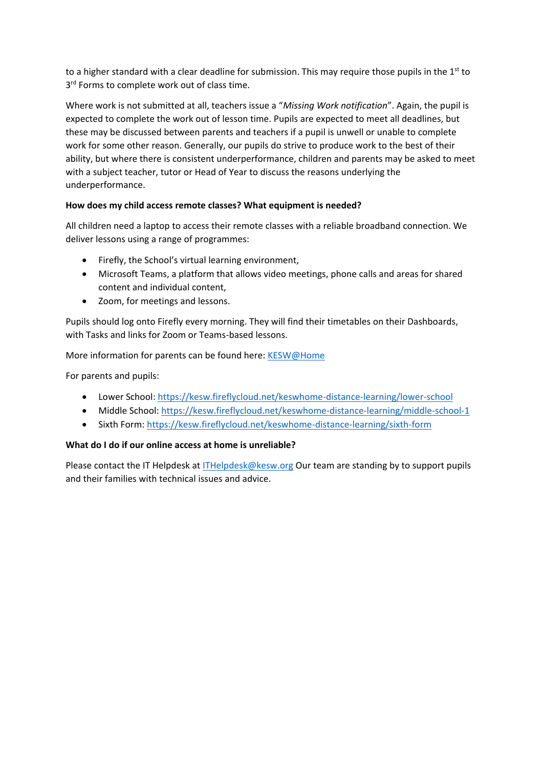to a higher standard with a clear deadline for submission. This may require those pupils in the 1<sup>st</sup> to 3<sup>rd</sup> Forms to complete work out of class time.

Where work is not submitted at all, teachers issue a "*Missing Work notification*". Again, the pupil is expected to complete the work out of lesson time. Pupils are expected to meet all deadlines, but these may be discussed between parents and teachers if a pupil is unwell or unable to complete work for some other reason. Generally, our pupils do strive to produce work to the best of their ability, but where there is consistent underperformance, children and parents may be asked to meet with a subject teacher, tutor or Head of Year to discuss the reasons underlying the underperformance.

# **How does my child access remote classes? What equipment is needed?**

All children need a laptop to access their remote classes with a reliable broadband connection. We deliver lessons using a range of programmes:

- Firefly, the School's virtual learning environment,
- Microsoft Teams, a platform that allows video meetings, phone calls and areas for shared content and individual content,
- Zoom, for meetings and lessons.

Pupils should log onto Firefly every morning. They will find their timetables on their Dashboards, with Tasks and links for Zoom or Teams-based lessons.

More information for parents can be found here[: KESW@Home](https://kesw.fireflycloud.net/keswhome-distance-learning)

For parents and pupils:

- Lower School:<https://kesw.fireflycloud.net/keswhome-distance-learning/lower-school>
- Middle School:<https://kesw.fireflycloud.net/keswhome-distance-learning/middle-school-1>
- Sixth Form:<https://kesw.fireflycloud.net/keswhome-distance-learning/sixth-form>

# **What do I do if our online access at home is unreliable?**

Please contact the IT Helpdesk at [ITHelpdesk@kesw.org](mailto:ITHelpdesk@kesw.org) Our team are standing by to support pupils and their families with technical issues and advice.